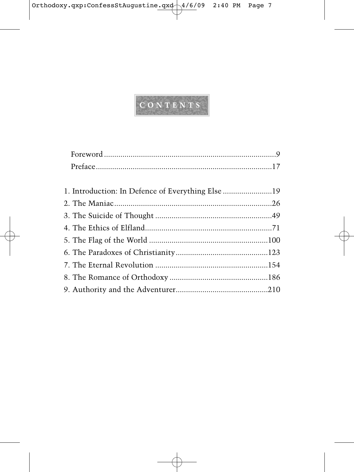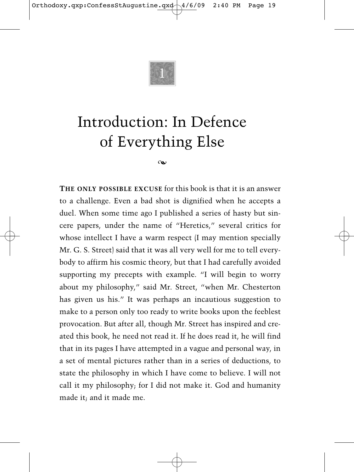

## Introduction: In Defence of Everything Else

 $\infty$ 

**THE ONLY POSSIBLE EXCUSE** for this book is that it is an answer to a challenge. Even a bad shot is dignified when he accepts a duel. When some time ago I published a series of hasty but sincere papers, under the name of "Heretics," several critics for whose intellect I have a warm respect (I may mention specially Mr. G. S. Street) said that it was all very well for me to tell everybody to affirm his cosmic theory, but that I had carefully avoided supporting my precepts with example. "I will begin to worry about my philosophy," said Mr. Street, "when Mr. Chesterton has given us his." It was perhaps an incautious suggestion to make to a person only too ready to write books upon the feeblest provocation. But after all, though Mr. Street has inspired and created this book, he need not read it. If he does read it, he will find that in its pages I have attempted in a vague and personal way, in a set of mental pictures rather than in a series of deductions, to state the philosophy in which I have come to believe. I will not call it my philosophy; for I did not make it. God and humanity made it; and it made me.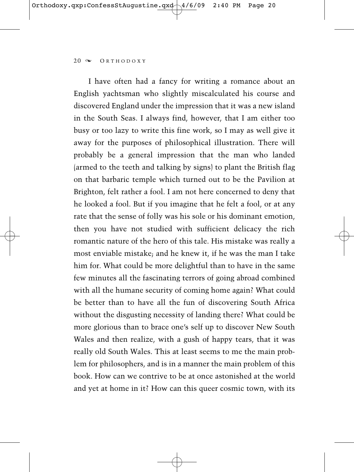I have often had a fancy for writing a romance about an English yachtsman who slightly miscalculated his course and discovered England under the impression that it was a new island in the South Seas. I always find, however, that I am either too busy or too lazy to write this fine work, so I may as well give it away for the purposes of philosophical illustration. There will probably be a general impression that the man who landed (armed to the teeth and talking by signs) to plant the British flag on that barbaric temple which turned out to be the Pavilion at Brighton, felt rather a fool. I am not here concerned to deny that he looked a fool. But if you imagine that he felt a fool, or at any rate that the sense of folly was his sole or his dominant emotion, then you have not studied with sufficient delicacy the rich romantic nature of the hero of this tale. His mistake was really a most enviable mistake; and he knew it, if he was the man I take him for. What could be more delightful than to have in the same few minutes all the fascinating terrors of going abroad combined with all the humane security of coming home again? What could be better than to have all the fun of discovering South Africa without the disgusting necessity of landing there? What could be more glorious than to brace one's self up to discover New South Wales and then realize, with a gush of happy tears, that it was really old South Wales. This at least seems to me the main problem for philosophers, and is in a manner the main problem of this book. How can we contrive to be at once astonished at the world and yet at home in it? How can this queer cosmic town, with its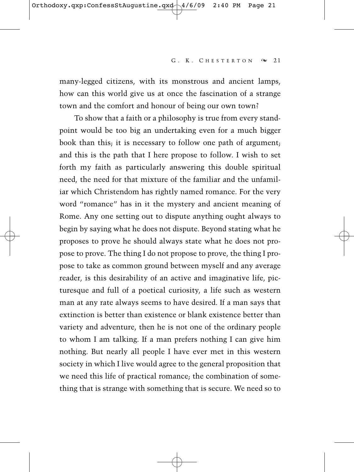many-legged citizens, with its monstrous and ancient lamps, how can this world give us at once the fascination of a strange town and the comfort and honour of being our own town?

To show that a faith or a philosophy is true from every standpoint would be too big an undertaking even for a much bigger book than this; it is necessary to follow one path of argument; and this is the path that I here propose to follow. I wish to set forth my faith as particularly answering this double spiritual need, the need for that mixture of the familiar and the unfamiliar which Christendom has rightly named romance. For the very word "romance" has in it the mystery and ancient meaning of Rome. Any one setting out to dispute anything ought always to begin by saying what he does not dispute. Beyond stating what he proposes to prove he should always state what he does not propose to prove. The thing I do not propose to prove, the thing I propose to take as common ground between myself and any average reader, is this desirability of an active and imaginative life, picturesque and full of a poetical curiosity, a life such as western man at any rate always seems to have desired. If a man says that extinction is better than existence or blank existence better than variety and adventure, then he is not one of the ordinary people to whom I am talking. If a man prefers nothing I can give him nothing. But nearly all people I have ever met in this western society in which I live would agree to the general proposition that we need this life of practical romance; the combination of something that is strange with something that is secure. We need so to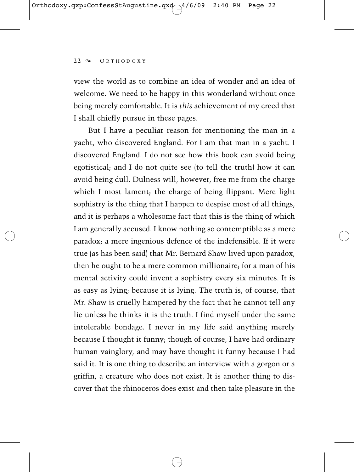view the world as to combine an idea of wonder and an idea of welcome. We need to be happy in this wonderland without once being merely comfortable. It is *this* achievement of my creed that I shall chiefly pursue in these pages.

But I have a peculiar reason for mentioning the man in a yacht, who discovered England. For I am that man in a yacht. I discovered England. I do not see how this book can avoid being egotistical; and I do not quite see (to tell the truth) how it can avoid being dull. Dulness will, however, free me from the charge which I most lament; the charge of being flippant. Mere light sophistry is the thing that I happen to despise most of all things, and it is perhaps a wholesome fact that this is the thing of which I am generally accused. I know nothing so contemptible as a mere paradox; a mere ingenious defence of the indefensible. If it were true (as has been said) that Mr. Bernard Shaw lived upon paradox, then he ought to be a mere common millionaire; for a man of his mental activity could invent a sophistry every six minutes. It is as easy as lying; because it is lying. The truth is, of course, that Mr. Shaw is cruelly hampered by the fact that he cannot tell any lie unless he thinks it is the truth. I find myself under the same intolerable bondage. I never in my life said anything merely because I thought it funny; though of course, I have had ordinary human vainglory, and may have thought it funny because I had said it. It is one thing to describe an interview with a gorgon or a griffin, a creature who does not exist. It is another thing to discover that the rhinoceros does exist and then take pleasure in the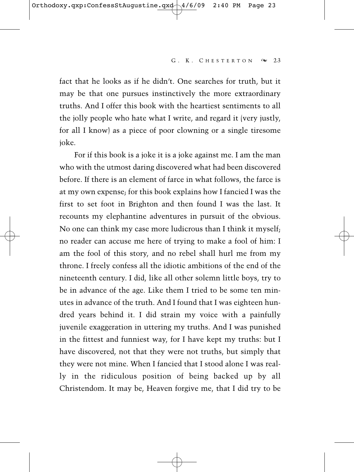fact that he looks as if he didn't. One searches for truth, but it may be that one pursues instinctively the more extraordinary truths. And I offer this book with the heartiest sentiments to all the jolly people who hate what I write, and regard it (very justly, for all I know) as a piece of poor clowning or a single tiresome joke.

For if this book is a joke it is a joke against me. I am the man who with the utmost daring discovered what had been discovered before. If there is an element of farce in what follows, the farce is at my own expense; for this book explains how I fancied I was the first to set foot in Brighton and then found I was the last. It recounts my elephantine adventures in pursuit of the obvious. No one can think my case more ludicrous than I think it myself; no reader can accuse me here of trying to make a fool of him: I am the fool of this story, and no rebel shall hurl me from my throne. I freely confess all the idiotic ambitions of the end of the nineteenth century. I did, like all other solemn little boys, try to be in advance of the age. Like them I tried to be some ten minutes in advance of the truth. And I found that I was eighteen hundred years behind it. I did strain my voice with a painfully juvenile exaggeration in uttering my truths. And I was punished in the fittest and funniest way, for I have kept my truths: but I have discovered, not that they were not truths, but simply that they were not mine. When I fancied that I stood alone I was really in the ridiculous position of being backed up by all Christendom. It may be, Heaven forgive me, that I did try to be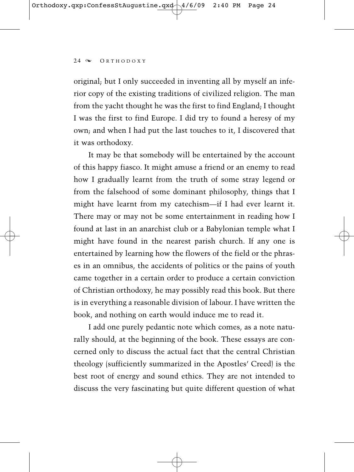original; but I only succeeded in inventing all by myself an inferior copy of the existing traditions of civilized religion. The man from the yacht thought he was the first to find England; I thought I was the first to find Europe. I did try to found a heresy of my own; and when I had put the last touches to it, I discovered that it was orthodoxy.

It may be that somebody will be entertained by the account of this happy fiasco. It might amuse a friend or an enemy to read how I gradually learnt from the truth of some stray legend or from the falsehood of some dominant philosophy, things that I might have learnt from my catechism—if I had ever learnt it. There may or may not be some entertainment in reading how I found at last in an anarchist club or a Babylonian temple what I might have found in the nearest parish church. If any one is entertained by learning how the flowers of the field or the phrases in an omnibus, the accidents of politics or the pains of youth came together in a certain order to produce a certain conviction of Christian orthodoxy, he may possibly read this book. But there is in everything a reasonable division of labour. I have written the book, and nothing on earth would induce me to read it.

I add one purely pedantic note which comes, as a note naturally should, at the beginning of the book. These essays are concerned only to discuss the actual fact that the central Christian theology (sufficiently summarized in the Apostles' Creed) is the best root of energy and sound ethics. They are not intended to discuss the very fascinating but quite different question of what